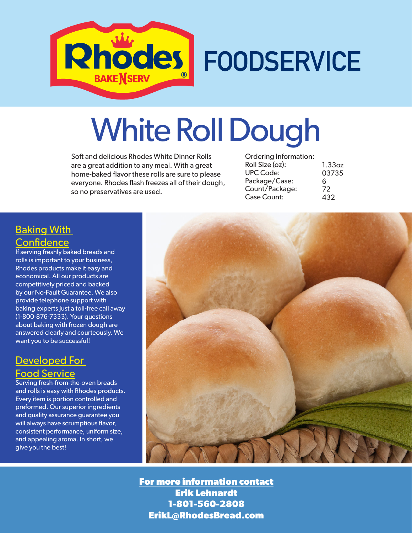

## White Roll Dough

Soft and delicious Rhodes White Dinner Rolls are a great addition to any meal. With a great home-baked flavor these rolls are sure to please everyone. Rhodes flash freezes all of their dough, so no preservatives are used.

| <b>Ordering Information:</b> |        |
|------------------------------|--------|
| Roll Size (oz):              | 1.33oz |
| <b>UPC Code:</b>             | 03735  |
| Package/Case:                | 6      |
| Count/Package:               | 72     |
| <b>Case Count:</b>           | 432    |
|                              |        |

## Baking With **Confidence**

If serving freshly baked breads and rolls is important to your business, Rhodes products make it easy and economical. All our products are competitively priced and backed by our No-Fault Guarantee. We also provide telephone support with baking experts just a toll-free call away (1-800-876-7333). Your questions about baking with frozen dough are answered clearly and courteously. We want you to be successful!

## Developed For Food Service

Serving fresh-from-the-oven breads and rolls is easy with Rhodes products. Every item is portion controlled and preformed. Our superior ingredients and quality assurance guarantee you will always have scrumptious flavor, consistent performance, uniform size, and appealing aroma. In short, we give you the best!



**For more information contact Erik Lehnardt 1-801-560-2808 ErikL@RhodesBread.com**